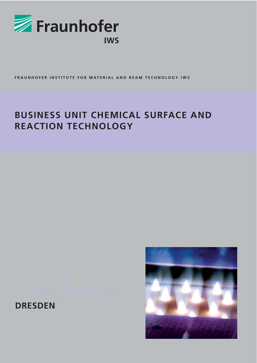

**FRAUNHOFER INSTITUTE FOR MATERIAL AND BEAM TECHNOLOGY IWS**

### **BUSINESS UNIT CHEMICAL SURFACE AND REACTION TECHNOLOGY**



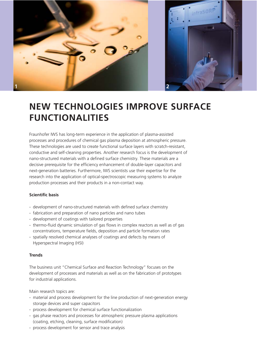



# **NEW TECHNOLOGIES IMPROVE SURFACE FUNCTIONALITIES**

Fraunhofer IWS has long-term experience in the application of plasma-assisted processes and procedures of chemical gas plasma deposition at atmospheric pressure. These technologies are used to create functional surface layers with scratch-resistant, conductive and self-cleaning properties. Another research focus is the development of nano-structured materials with a defined surface chemistry. These materials are a decisive prerequisite for the efficiency enhancement of double-layer capacitors and next-generation batteries. Furthermore, IWS scientists use their expertise for the research into the application of optical-spectroscopic measuring systems to analyze production processes and their products in a non-contact way.

### **Scientific basis**

- development of nano-structured materials with defined surface chemistry
- fabrication and preparation of nano particles and nano tubes
- development of coatings with tailored properties
- thermo-fluid dynamic simulation of gas flows in complex reactors as well as of gas concentrations, temperature fields, deposition and particle formation rates
- spatially resolved chemical analyses of coatings and defects by means of Hyperspectral Imaging (HSI)

### **Trends**

The business unit "Chemical Surface and Reaction Technology" focuses on the development of processes and materials as well as on the fabrication of prototypes for industrial applications.

Main research topics are:

- material and process development for the line production of next-generation energy storage devices and super capacitors
- process development for chemical surface functionalization
- gas phase reactors and processes for atmospheric pressure plasma applications (coating, etching, cleaning, surface modification)
- process development for sensor and trace analysis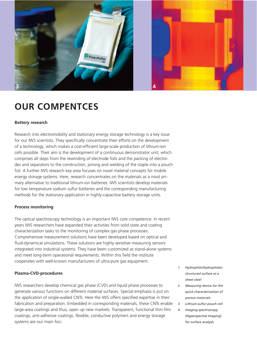

## **OUR COMPENTCES**

### **Battery research**

Research into electromobility and stationary energy storage technology is a key issue for our IWS scientists. They specifically concentrate their efforts on the development of a technology, which makes a cost-efficient large-scale production of lithium-ion cells possible. Their aim is the development of a continuous demonstrator unit, which comprises all steps from the rewinding of electrode foils and the packing of electrodes and separators to the construction, joining and welding of the staple into a pouch foil. A further IWS research key area focuses on novel material concepts for mobile energy storage systems. Here, research concentrates on the materials as a most primary alternative to traditional lithium-ion batteries. IWS scientists develop materials for low temperature sodium sulfur batteries and the corresponding manufacturing methods for the stationary application in highly-capacitive battery storage units.

### **Process monitoring**

The optical spectroscopy technology is an important IWS core competence. In recent years IWS researchers have expanded their activities from solid state and coating characterization tasks to the monitoring of complex gas phase processes. Comprehensive measurement solutions have been developed based on optical and fluid-dynamical simulations. These solutions are highly sensitive measuring sensors integrated into industrial systems. They have been customized as stand-alone systems and meet long-term operational requirements. Within this field the institute cooperates with well-known manufacturers of ultra-pure gas equipment.

### **Plasma-CVD-procedures**

IWS researchers develop chemical gas phase (CVD) and liquid phase processes to generate various functions on different material surfaces. Special emphasis is put on the application of single-walled CNTs. Here the IWS offers specified expertise in their fabrication and preparation. Embedded in corresponding materials, these CNTs enable large-area coatings and thus, open up new markets. Transparent, functional thin-film coatings, anti-adhesive coatings, flexible, conductive polymers and energy storage systems are our main foci.

- *1 Hydrophilic/hydrophobicstructured surface at a sheet steel*
- *2 Measuring device for the quick characterization of porous materials*
- *3 Lithium-sulfur pouch cell*
- *4 Imaging spectroscopy (Hyperspectral Imaging) for surface analysis*